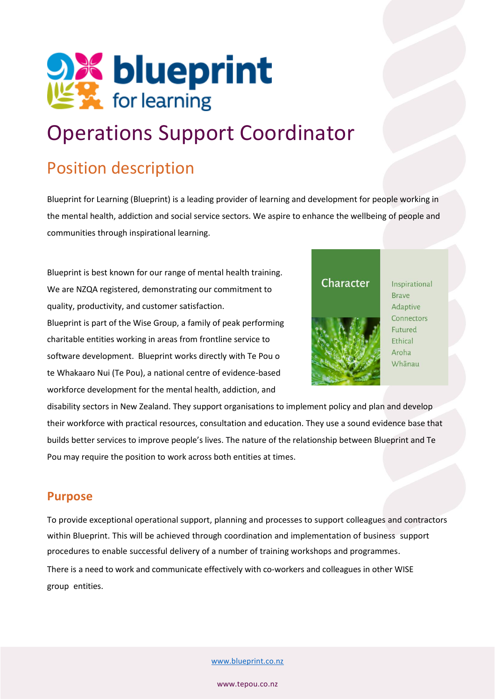

# Operations Support Coordinator

# Position description

Blueprint for Learning (Blueprint) is a leading provider of learning and development for people working in the mental health, addiction and social service sectors. We aspire to enhance the wellbeing of people and communities through inspirational learning.

Blueprint is best known for our range of mental health training. We are NZQA registered, demonstrating our commitment to quality, productivity, and customer satisfaction. Blueprint is part of the Wise Group, a family of peak performing charitable entities working in areas from frontline service to software development. Blueprint works directly with Te Pou o te Whakaaro Nui (Te Pou), a national centre of evidence-based workforce development for the mental health, addiction, and

# Character



Inspirational **Brave** Adaptive Connectors Futured Ethical Aroha Whānau

disability sectors in New Zealand. They support organisations to implement policy and plan and develop their workforce with practical resources, consultation and education. They use a sound evidence base that builds better services to improve people's lives. The nature of the relationship between Blueprint and Te Pou may require the position to work across both entities at times.

## **Purpose**

To provide exceptional operational support, planning and processes to support colleagues and contractors within Blueprint. This will be achieved through coordination and implementation of business support procedures to enable successful delivery of a number of training workshops and programmes. There is a need to work and communicate effectively with co-workers and colleagues in other WISE group entities.

[www.blueprint.co.nz](http://www.blueprint.co.nz/)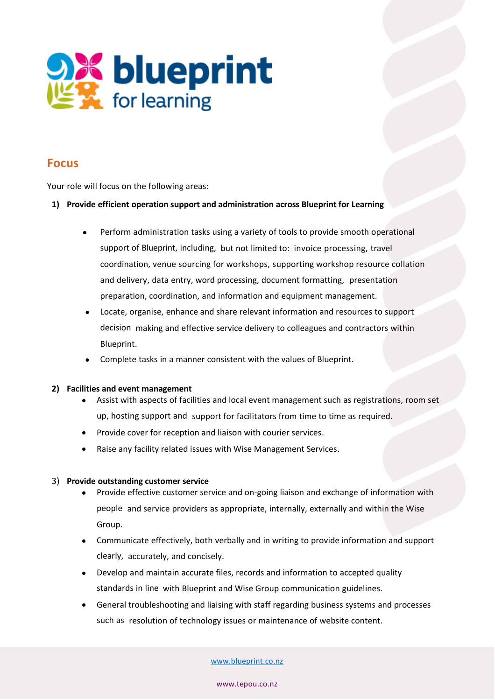

## **Focus**

Your role will focus on the following areas:

- **1) Provide efficient operation support and administration across Blueprint for Learning**
	- Perform administration tasks using a variety of tools to provide smooth operational support of Blueprint, including, but not limited to: invoice processing, travel coordination, venue sourcing for workshops, supporting workshop resource collation and delivery, data entry, word processing, document formatting, presentation preparation, coordination, and information and equipment management.
	- Locate, organise, enhance and share relevant information and resources to support decision making and effective service delivery to colleagues and contractors within Blueprint.
	- Complete tasks in a manner consistent with the values of Blueprint.

#### **2) Facilities and event management**

- Assist with aspects of facilities and local event management such as registrations, room set up, hosting support and support for facilitators from time to time as required.
- Provide cover for reception and liaison with courier services.
- Raise any facility related issues with Wise Management Services.

#### 3) **Provide outstanding customer service**

- Provide effective customer service and on-going liaison and exchange of information with people and service providers as appropriate, internally, externally and within the Wise Group.
- Communicate effectively, both verbally and in writing to provide information and support clearly, accurately, and concisely.
- Develop and maintain accurate files, records and information to accepted quality standards in line with Blueprint and Wise Group communication guidelines.
- General troubleshooting and liaising with staff regarding business systems and processes such as resolution of technology issues or maintenance of website content.

[www.blueprint.co.nz](http://www.blueprint.co.nz/)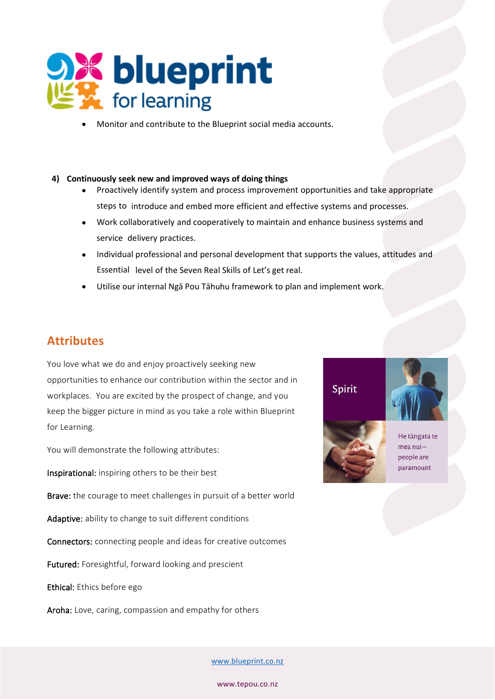

• Monitor and contribute to the Blueprint social media accounts.

#### **4) Continuously seek new and improved ways of doing things**

- Proactively identify system and process improvement opportunities and take appropriate steps to introduce and embed more efficient and effective systems and processes.
- Work collaboratively and cooperatively to maintain and enhance business systems and service delivery practices.
- Individual professional and personal development that supports the values, attitudes and Essential level of the Seven Real Skills of Let's get real.
- Utilise our internal Ngā Pou Tāhuhu framework to plan and implement work.

# **Attributes**

You love what we do and enjoy proactively seeking new opportunities to enhance our contribution within the sector and in workplaces. You are excited by the prospect of change, and you keep the bigger picture in mind as you take a role within Blueprint for Learning.

You will demonstrate the following attributes:

Inspirational: inspiring others to be their best

Brave: the courage to meet challenges in pursuit of a better world

Adaptive: ability to change to suit different conditions

Connectors: connecting people and ideas for creative outcomes

Futured: Foresightful, forward looking and prescient

Ethical: Ethics before ego

Aroha: Love, caring, compassion and empathy for others



paramount

[www.blueprint.co.nz](http://www.blueprint.co.nz/)